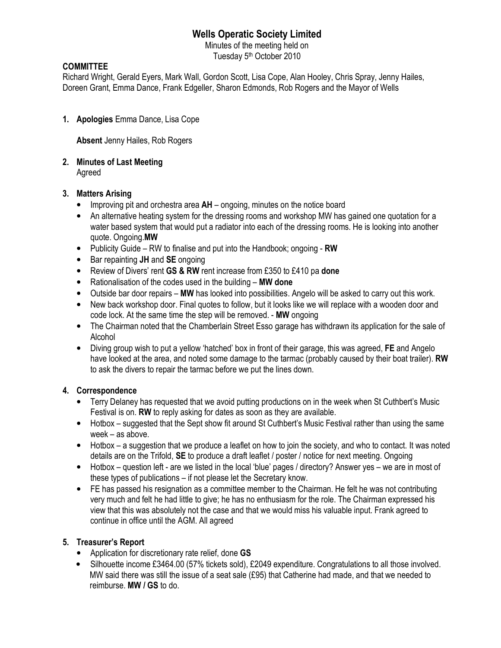# **Wells Operatic Society Limited**

Minutes of the meeting held on Tuesday 5<sup>th</sup> October 2010

#### **COMMITTEE**

Richard Wright, Gerald Eyers, Mark Wall, Gordon Scott, Lisa Cope, Alan Hooley, Chris Spray, Jenny Hailes, Doreen Grant, Emma Dance, Frank Edgeller, Sharon Edmonds, Rob Rogers and the Mayor of Wells

**1. Apologies** Emma Dance, Lisa Cope

**Absent** Jenny Hailes, Rob Rogers

**2. Minutes of Last Meeting** 

Agreed

## **3. Matters Arising**

- Improving pit and orchestra area **AH** ongoing, minutes on the notice board
- An alternative heating system for the dressing rooms and workshop MW has gained one quotation for a water based system that would put a radiator into each of the dressing rooms. He is looking into another quote. Ongoing.**MW**
- Publicity Guide RW to finalise and put into the Handbook; ongoing - **RW**
- Bar repainting **JH** and **SE** ongoing
- Review of Divers' rent **GS & RW** rent increase from £350 to £410 pa **done**
- Rationalisation of the codes used in the building **MW done**
- Outside bar door repairs **MW** has looked into possibilities. Angelo will be asked to carry out this work.
- New back workshop door. Final quotes to follow, but it looks like we will replace with a wooden door and code lock. At the same time the step will be removed. - **MW** ongoing
- The Chairman noted that the Chamberlain Street Esso garage has withdrawn its application for the sale of Alcohol
- Diving group wish to put a yellow 'hatched' box in front of their garage, this was agreed, **FE** and Angelo have looked at the area, and noted some damage to the tarmac (probably caused by their boat trailer). **RW** to ask the divers to repair the tarmac before we put the lines down.

## **4. Correspondence**

- Terry Delaney has requested that we avoid putting productions on in the week when St Cuthbert's Music Festival is on. **RW** to reply asking for dates as soon as they are available.
- Hotbox suggested that the Sept show fit around St Cuthbert's Music Festival rather than using the same week – as above.
- Hotbox a suggestion that we produce a leaflet on how to join the society, and who to contact. It was noted details are on the Trifold, **SE** to produce a draft leaflet / poster / notice for next meeting. Ongoing
- Hotbox question left are we listed in the local 'blue' pages / directory? Answer yes we are in most of these types of publications – if not please let the Secretary know.
- FE has passed his resignation as a committee member to the Chairman. He felt he was not contributing very much and felt he had little to give; he has no enthusiasm for the role. The Chairman expressed his view that this was absolutely not the case and that we would miss his valuable input. Frank agreed to continue in office until the AGM. All agreed

## **5. Treasurer's Report**

- Application for discretionary rate relief, done **GS**
- Silhouette income £3464.00 (57% tickets sold), £2049 expenditure. Congratulations to all those involved. MW said there was still the issue of a seat sale (£95) that Catherine had made, and that we needed to reimburse. **MW / GS** to do.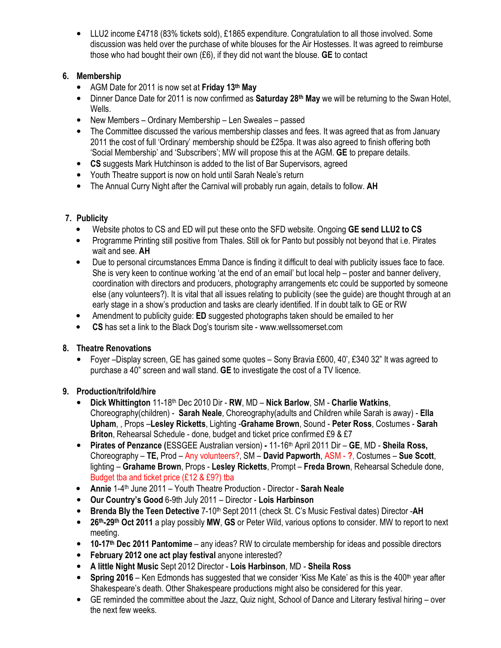• LLU2 income £4718 (83% tickets sold), £1865 expenditure. Congratulation to all those involved. Some discussion was held over the purchase of white blouses for the Air Hostesses. It was agreed to reimburse those who had bought their own (£6), if they did not want the blouse. **GE** to contact

# **6. Membership**

- AGM Date for 2011 is now set at **Friday 13th May**
- Dinner Dance Date for 2011 is now confirmed as **Saturday 28th May** we will be returning to the Swan Hotel, Wells.
- New Members Ordinary Membership Len Sweales passed
- The Committee discussed the various membership classes and fees. It was agreed that as from January 2011 the cost of full 'Ordinary' membership should be £25pa. It was also agreed to finish offering both 'Social Membership' and 'Subscribers'; MW will propose this at the AGM. **GE** to prepare details.
- **CS** suggests Mark Hutchinson is added to the list of Bar Supervisors, agreed
- Youth Theatre support is now on hold until Sarah Neale's return
- The Annual Curry Night after the Carnival will probably run again, details to follow. **AH**

# **7. Publicity**

- Website photos to CS and ED will put these onto the SFD website. Ongoing **GE send LLU2 to CS**
- Programme Printing still positive from Thales. Still ok for Panto but possibly not beyond that i.e. Pirates wait and see. **AH**
- Due to personal circumstances Emma Dance is finding it difficult to deal with publicity issues face to face. She is very keen to continue working 'at the end of an email' but local help – poster and banner delivery, coordination with directors and producers, photography arrangements etc could be supported by someone else (any volunteers?). It is vital that all issues relating to publicity (see the guide) are thought through at an early stage in a show's production and tasks are clearly identified. If in doubt talk to GE or RW
- Amendment to publicity guide: **ED** suggested photographs taken should be emailed to her
- **CS** has set a link to the Black Dog's tourism site www.wellssomerset.com

## **8. Theatre Renovations**

• Foyer –Display screen, GE has gained some quotes – Sony Bravia £600, 40', £340 32" It was agreed to purchase a 40" screen and wall stand. **GE** to investigate the cost of a TV licence.

## **9. Production/trifold/hire**

- **Dick Whittington** 11-18th Dec 2010 Dir **RW**, MD **Nick Barlow**, SM **Charlie Watkins**, Choreography(children) - **Sarah Neale**, Choreography(adults and Children while Sarah is away) - **Ella Upham**, , Props –**Lesley Ricketts**, Lighting -**Grahame Brown**, Sound - **Peter Ross**, Costumes - **Sarah Briton**, Rehearsal Schedule - done, budget and ticket price confirmed £9 & £7
- **Pirates of Penzance (**ESSGEE Australian version) 11-16th April 2011 Dir – **GE**, MD **Sheila Ross,**  Choreography – **TE,** Prod – Any volunteers?, SM – **David Papworth**, ASM - **?**, Costumes – **Sue Scott**, lighting – **Grahame Brown**, Props - **Lesley Ricketts**, Prompt – **Freda Brown**, Rehearsal Schedule done, Budget tba and ticket price (£12 & £9?) tba
- **Annie** 1-4th June 2011 Youth Theatre Production Director **Sarah Neale**
- **Our Country's Good** 6-9th July 2011 Director **Lois Harbinson**
- **Brenda Bly the Teen Detective** 7-10th Sept 2011 (check St. C's Music Festival dates) Director -**AH**
- **26th-29th Oct 2011** a play possibly **MW**, **GS** or Peter Wild, various options to consider. MW to report to next meeting.
- **10-17th Dec 2011 Pantomime** any ideas? RW to circulate membership for ideas and possible directors
- **February 2012 one act play festival** anyone interested?
- **A little Night Music** Sept 2012 Director **Lois Harbinson**, MD **Sheila Ross**
- Spring 2016 Ken Edmonds has suggested that we consider 'Kiss Me Kate' as this is the 400<sup>th</sup> year after Shakespeare's death. Other Shakespeare productions might also be considered for this year.
- GE reminded the committee about the Jazz, Quiz night, School of Dance and Literary festival hiring over the next few weeks.